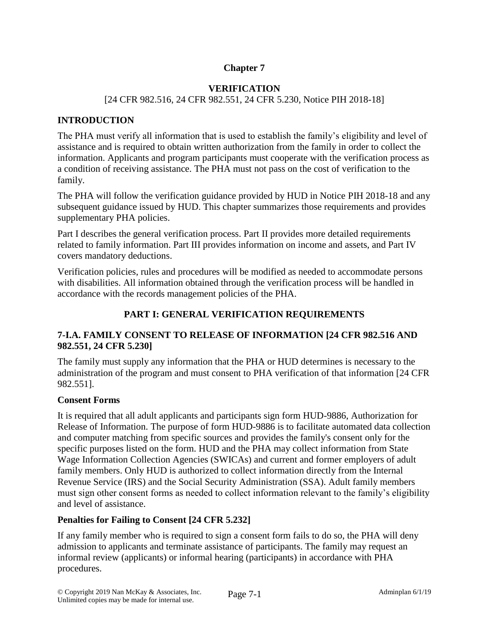# **Chapter 7**

# **VERIFICATION**

### [24 CFR 982.516, 24 CFR 982.551, 24 CFR 5.230, Notice PIH 2018-18]

## **INTRODUCTION**

The PHA must verify all information that is used to establish the family's eligibility and level of assistance and is required to obtain written authorization from the family in order to collect the information. Applicants and program participants must cooperate with the verification process as a condition of receiving assistance. The PHA must not pass on the cost of verification to the family.

The PHA will follow the verification guidance provided by HUD in Notice PIH 2018-18 and any subsequent guidance issued by HUD. This chapter summarizes those requirements and provides supplementary PHA policies.

Part I describes the general verification process. Part II provides more detailed requirements related to family information. Part III provides information on income and assets, and Part IV covers mandatory deductions.

Verification policies, rules and procedures will be modified as needed to accommodate persons with disabilities. All information obtained through the verification process will be handled in accordance with the records management policies of the PHA.

## **PART I: GENERAL VERIFICATION REQUIREMENTS**

# **7-I.A. FAMILY CONSENT TO RELEASE OF INFORMATION [24 CFR 982.516 AND 982.551, 24 CFR 5.230]**

The family must supply any information that the PHA or HUD determines is necessary to the administration of the program and must consent to PHA verification of that information [24 CFR 982.551].

## **Consent Forms**

It is required that all adult applicants and participants sign form HUD-9886, Authorization for Release of Information. The purpose of form HUD-9886 is to facilitate automated data collection and computer matching from specific sources and provides the family's consent only for the specific purposes listed on the form. HUD and the PHA may collect information from State Wage Information Collection Agencies (SWICAs) and current and former employers of adult family members. Only HUD is authorized to collect information directly from the Internal Revenue Service (IRS) and the Social Security Administration (SSA). Adult family members must sign other consent forms as needed to collect information relevant to the family's eligibility and level of assistance.

## **Penalties for Failing to Consent [24 CFR 5.232]**

If any family member who is required to sign a consent form fails to do so, the PHA will deny admission to applicants and terminate assistance of participants. The family may request an informal review (applicants) or informal hearing (participants) in accordance with PHA procedures.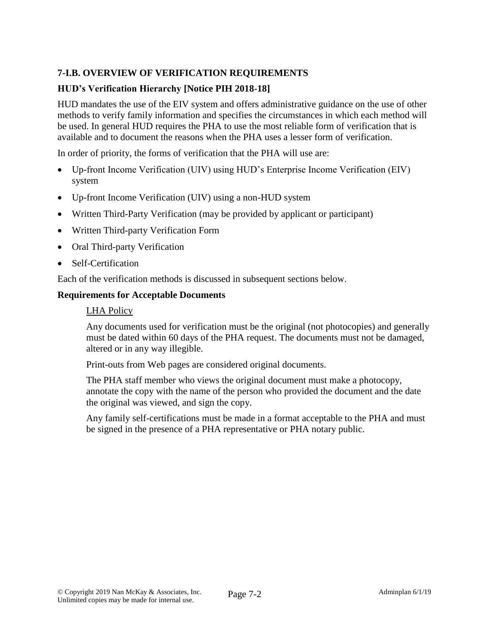# **7-I.B. OVERVIEW OF VERIFICATION REQUIREMENTS**

## **HUD's Verification Hierarchy [Notice PIH 2018-18]**

HUD mandates the use of the EIV system and offers administrative guidance on the use of other methods to verify family information and specifies the circumstances in which each method will be used. In general HUD requires the PHA to use the most reliable form of verification that is available and to document the reasons when the PHA uses a lesser form of verification.

In order of priority, the forms of verification that the PHA will use are:

- Up-front Income Verification (UIV) using HUD's Enterprise Income Verification (EIV) system
- Up-front Income Verification (UIV) using a non-HUD system
- Written Third-Party Verification (may be provided by applicant or participant)
- Written Third-party Verification Form
- Oral Third-party Verification
- Self-Certification

Each of the verification methods is discussed in subsequent sections below.

#### **Requirements for Acceptable Documents**

#### LHA Policy

Any documents used for verification must be the original (not photocopies) and generally must be dated within 60 days of the PHA request. The documents must not be damaged, altered or in any way illegible.

Print-outs from Web pages are considered original documents.

The PHA staff member who views the original document must make a photocopy, annotate the copy with the name of the person who provided the document and the date the original was viewed, and sign the copy.

Any family self-certifications must be made in a format acceptable to the PHA and must be signed in the presence of a PHA representative or PHA notary public.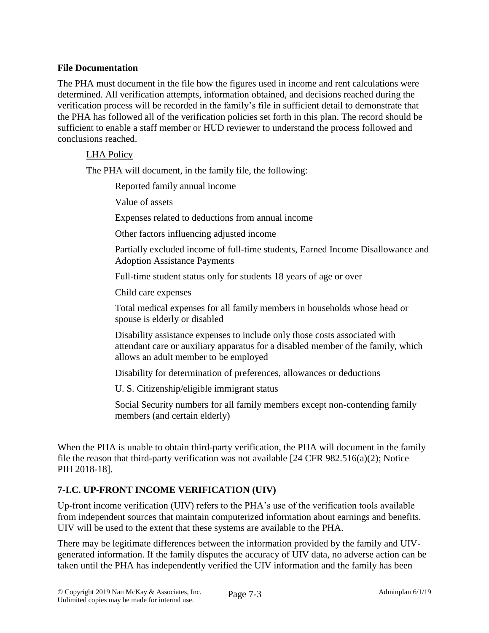## **File Documentation**

The PHA must document in the file how the figures used in income and rent calculations were determined. All verification attempts, information obtained, and decisions reached during the verification process will be recorded in the family's file in sufficient detail to demonstrate that the PHA has followed all of the verification policies set forth in this plan. The record should be sufficient to enable a staff member or HUD reviewer to understand the process followed and conclusions reached.

#### LHA Policy

The PHA will document, in the family file, the following:

Reported family annual income

Value of assets

Expenses related to deductions from annual income

Other factors influencing adjusted income

Partially excluded income of full-time students, Earned Income Disallowance and Adoption Assistance Payments

Full-time student status only for students 18 years of age or over

Child care expenses

Total medical expenses for all family members in households whose head or spouse is elderly or disabled

Disability assistance expenses to include only those costs associated with attendant care or auxiliary apparatus for a disabled member of the family, which allows an adult member to be employed

Disability for determination of preferences, allowances or deductions

U. S. Citizenship/eligible immigrant status

Social Security numbers for all family members except non-contending family members (and certain elderly)

When the PHA is unable to obtain third-party verification, the PHA will document in the family file the reason that third-party verification was not available [24 CFR  $982.516(a)(2)$ ; Notice PIH 2018-18].

# **7-I.C. UP-FRONT INCOME VERIFICATION (UIV)**

Up-front income verification (UIV) refers to the PHA's use of the verification tools available from independent sources that maintain computerized information about earnings and benefits. UIV will be used to the extent that these systems are available to the PHA.

There may be legitimate differences between the information provided by the family and UIVgenerated information. If the family disputes the accuracy of UIV data, no adverse action can be taken until the PHA has independently verified the UIV information and the family has been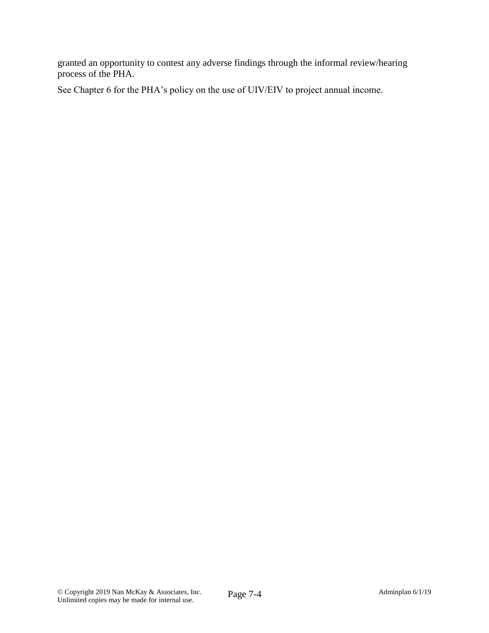granted an opportunity to contest any adverse findings through the informal review/hearing process of the PHA.

See Chapter 6 for the PHA's policy on the use of UIV/EIV to project annual income.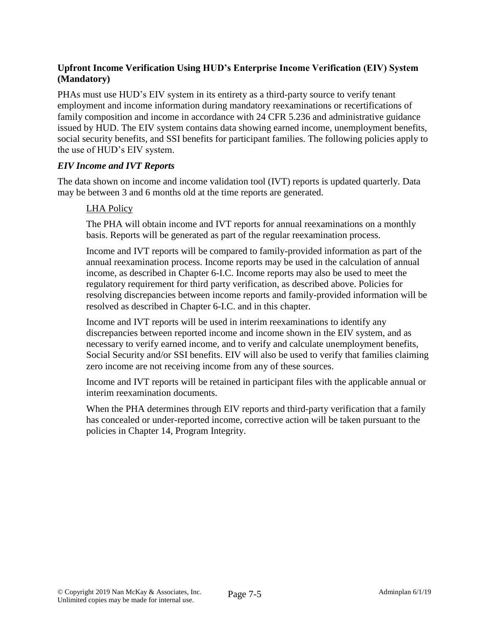# **Upfront Income Verification Using HUD's Enterprise Income Verification (EIV) System (Mandatory)**

PHAs must use HUD's EIV system in its entirety as a third-party source to verify tenant employment and income information during mandatory reexaminations or recertifications of family composition and income in accordance with 24 CFR 5.236 and administrative guidance issued by HUD. The EIV system contains data showing earned income, unemployment benefits, social security benefits, and SSI benefits for participant families. The following policies apply to the use of HUD's EIV system.

#### *EIV Income and IVT Reports*

The data shown on income and income validation tool (IVT) reports is updated quarterly. Data may be between 3 and 6 months old at the time reports are generated.

#### LHA Policy

The PHA will obtain income and IVT reports for annual reexaminations on a monthly basis. Reports will be generated as part of the regular reexamination process.

Income and IVT reports will be compared to family-provided information as part of the annual reexamination process. Income reports may be used in the calculation of annual income, as described in Chapter 6-I.C. Income reports may also be used to meet the regulatory requirement for third party verification, as described above. Policies for resolving discrepancies between income reports and family-provided information will be resolved as described in Chapter 6-I.C. and in this chapter.

Income and IVT reports will be used in interim reexaminations to identify any discrepancies between reported income and income shown in the EIV system, and as necessary to verify earned income, and to verify and calculate unemployment benefits, Social Security and/or SSI benefits. EIV will also be used to verify that families claiming zero income are not receiving income from any of these sources.

Income and IVT reports will be retained in participant files with the applicable annual or interim reexamination documents.

When the PHA determines through EIV reports and third-party verification that a family has concealed or under-reported income, corrective action will be taken pursuant to the policies in Chapter 14, Program Integrity.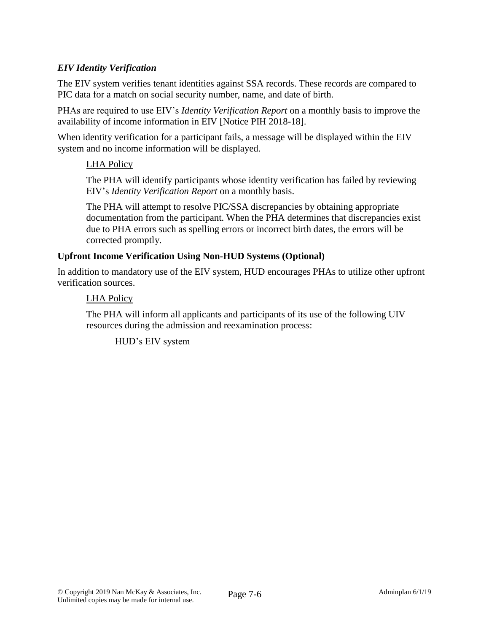## *EIV Identity Verification*

The EIV system verifies tenant identities against SSA records. These records are compared to PIC data for a match on social security number, name, and date of birth.

PHAs are required to use EIV's *Identity Verification Report* on a monthly basis to improve the availability of income information in EIV [Notice PIH 2018-18].

When identity verification for a participant fails, a message will be displayed within the EIV system and no income information will be displayed.

## LHA Policy

The PHA will identify participants whose identity verification has failed by reviewing EIV's *Identity Verification Report* on a monthly basis.

The PHA will attempt to resolve PIC/SSA discrepancies by obtaining appropriate documentation from the participant. When the PHA determines that discrepancies exist due to PHA errors such as spelling errors or incorrect birth dates, the errors will be corrected promptly.

#### **Upfront Income Verification Using Non-HUD Systems (Optional)**

In addition to mandatory use of the EIV system, HUD encourages PHAs to utilize other upfront verification sources.

#### LHA Policy

The PHA will inform all applicants and participants of its use of the following UIV resources during the admission and reexamination process:

HUD's EIV system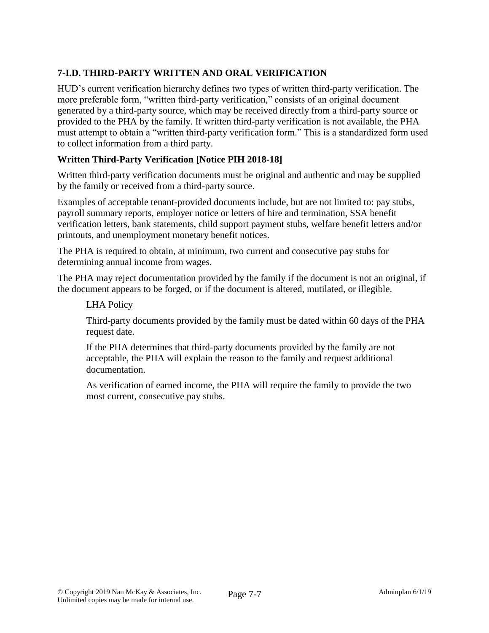# **7-I.D. THIRD-PARTY WRITTEN AND ORAL VERIFICATION**

HUD's current verification hierarchy defines two types of written third-party verification. The more preferable form, "written third-party verification," consists of an original document generated by a third-party source, which may be received directly from a third-party source or provided to the PHA by the family. If written third-party verification is not available, the PHA must attempt to obtain a "written third-party verification form." This is a standardized form used to collect information from a third party.

# **Written Third-Party Verification [Notice PIH 2018-18]**

Written third-party verification documents must be original and authentic and may be supplied by the family or received from a third-party source.

Examples of acceptable tenant-provided documents include, but are not limited to: pay stubs, payroll summary reports, employer notice or letters of hire and termination, SSA benefit verification letters, bank statements, child support payment stubs, welfare benefit letters and/or printouts, and unemployment monetary benefit notices.

The PHA is required to obtain, at minimum, two current and consecutive pay stubs for determining annual income from wages.

The PHA may reject documentation provided by the family if the document is not an original, if the document appears to be forged, or if the document is altered, mutilated, or illegible.

## LHA Policy

Third-party documents provided by the family must be dated within 60 days of the PHA request date.

If the PHA determines that third-party documents provided by the family are not acceptable, the PHA will explain the reason to the family and request additional documentation.

As verification of earned income, the PHA will require the family to provide the two most current, consecutive pay stubs.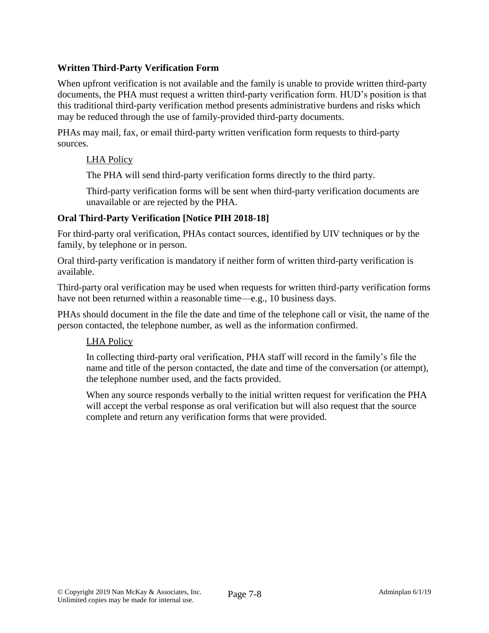# **Written Third-Party Verification Form**

When upfront verification is not available and the family is unable to provide written third-party documents, the PHA must request a written third-party verification form. HUD's position is that this traditional third-party verification method presents administrative burdens and risks which may be reduced through the use of family-provided third-party documents.

PHAs may mail, fax, or email third-party written verification form requests to third-party sources.

#### LHA Policy

The PHA will send third-party verification forms directly to the third party.

Third-party verification forms will be sent when third-party verification documents are unavailable or are rejected by the PHA.

#### **Oral Third-Party Verification [Notice PIH 2018-18]**

For third-party oral verification, PHAs contact sources, identified by UIV techniques or by the family, by telephone or in person.

Oral third-party verification is mandatory if neither form of written third-party verification is available.

Third-party oral verification may be used when requests for written third-party verification forms have not been returned within a reasonable time—e.g., 10 business days.

PHAs should document in the file the date and time of the telephone call or visit, the name of the person contacted, the telephone number, as well as the information confirmed.

## LHA Policy

In collecting third-party oral verification, PHA staff will record in the family's file the name and title of the person contacted, the date and time of the conversation (or attempt), the telephone number used, and the facts provided.

When any source responds verbally to the initial written request for verification the PHA will accept the verbal response as oral verification but will also request that the source complete and return any verification forms that were provided.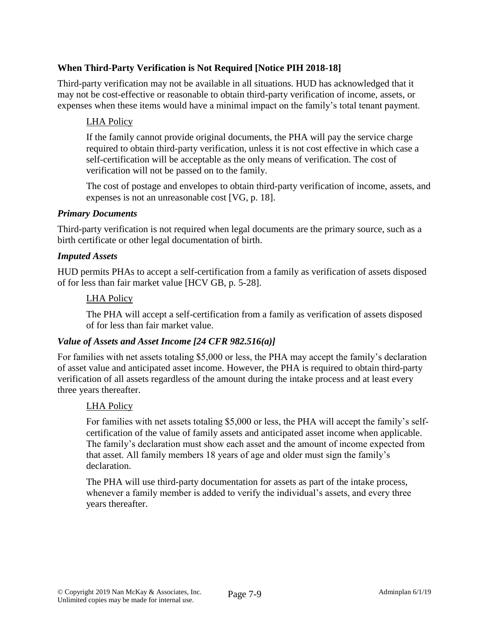# **When Third-Party Verification is Not Required [Notice PIH 2018-18]**

Third-party verification may not be available in all situations. HUD has acknowledged that it may not be cost-effective or reasonable to obtain third-party verification of income, assets, or expenses when these items would have a minimal impact on the family's total tenant payment.

## LHA Policy

If the family cannot provide original documents, the PHA will pay the service charge required to obtain third-party verification, unless it is not cost effective in which case a self-certification will be acceptable as the only means of verification. The cost of verification will not be passed on to the family.

The cost of postage and envelopes to obtain third-party verification of income, assets, and expenses is not an unreasonable cost [VG, p. 18].

#### *Primary Documents*

Third-party verification is not required when legal documents are the primary source, such as a birth certificate or other legal documentation of birth.

#### *Imputed Assets*

HUD permits PHAs to accept a self-certification from a family as verification of assets disposed of for less than fair market value [HCV GB, p. 5-28].

#### LHA Policy

The PHA will accept a self-certification from a family as verification of assets disposed of for less than fair market value.

## *Value of Assets and Asset Income [24 CFR 982.516(a)]*

For families with net assets totaling \$5,000 or less, the PHA may accept the family's declaration of asset value and anticipated asset income. However, the PHA is required to obtain third-party verification of all assets regardless of the amount during the intake process and at least every three years thereafter.

#### LHA Policy

For families with net assets totaling \$5,000 or less, the PHA will accept the family's selfcertification of the value of family assets and anticipated asset income when applicable. The family's declaration must show each asset and the amount of income expected from that asset. All family members 18 years of age and older must sign the family's declaration.

The PHA will use third-party documentation for assets as part of the intake process, whenever a family member is added to verify the individual's assets, and every three years thereafter.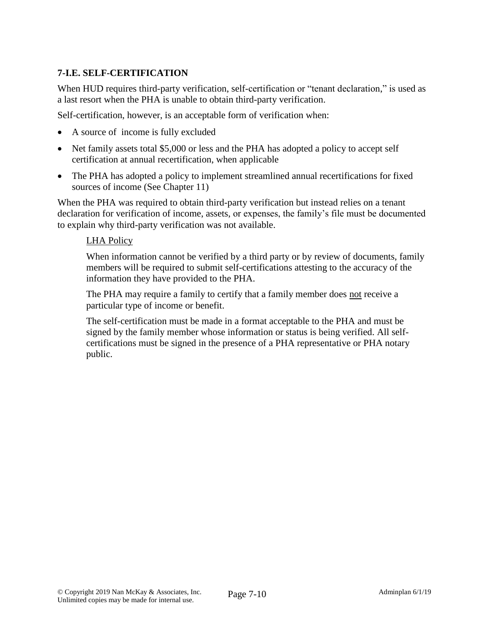# **7-I.E. SELF-CERTIFICATION**

When HUD requires third-party verification, self-certification or "tenant declaration," is used as a last resort when the PHA is unable to obtain third-party verification.

Self-certification, however, is an acceptable form of verification when:

- A source of income is fully excluded
- Net family assets total \$5,000 or less and the PHA has adopted a policy to accept self certification at annual recertification, when applicable
- The PHA has adopted a policy to implement streamlined annual recertifications for fixed sources of income (See Chapter 11)

When the PHA was required to obtain third-party verification but instead relies on a tenant declaration for verification of income, assets, or expenses, the family's file must be documented to explain why third-party verification was not available.

## LHA Policy

When information cannot be verified by a third party or by review of documents, family members will be required to submit self-certifications attesting to the accuracy of the information they have provided to the PHA.

The PHA may require a family to certify that a family member does not receive a particular type of income or benefit.

The self-certification must be made in a format acceptable to the PHA and must be signed by the family member whose information or status is being verified. All selfcertifications must be signed in the presence of a PHA representative or PHA notary public.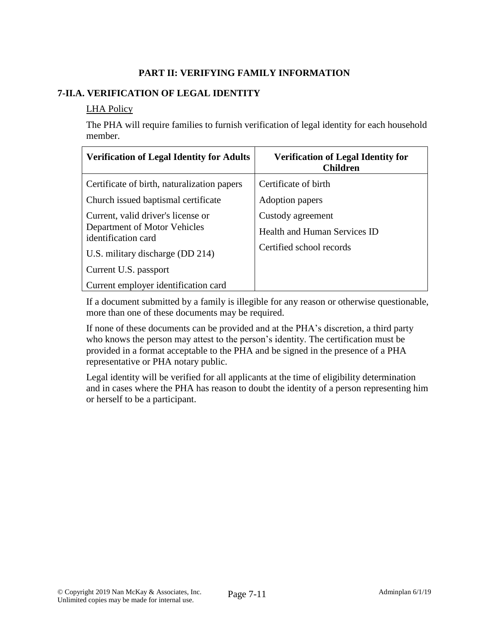# **PART II: VERIFYING FAMILY INFORMATION**

# **7-II.A. VERIFICATION OF LEGAL IDENTITY**

### LHA Policy

The PHA will require families to furnish verification of legal identity for each household member.

| <b>Verification of Legal Identity for Adults</b>                                          | <b>Verification of Legal Identity for</b><br><b>Children</b> |
|-------------------------------------------------------------------------------------------|--------------------------------------------------------------|
| Certificate of birth, naturalization papers                                               | Certificate of birth                                         |
| Church issued baptismal certificate                                                       | Adoption papers                                              |
| Current, valid driver's license or<br>Department of Motor Vehicles<br>identification card | Custody agreement<br>Health and Human Services ID            |
| U.S. military discharge (DD 214)                                                          | Certified school records                                     |
| Current U.S. passport                                                                     |                                                              |
| Current employer identification card                                                      |                                                              |

If a document submitted by a family is illegible for any reason or otherwise questionable, more than one of these documents may be required.

If none of these documents can be provided and at the PHA's discretion, a third party who knows the person may attest to the person's identity. The certification must be provided in a format acceptable to the PHA and be signed in the presence of a PHA representative or PHA notary public.

Legal identity will be verified for all applicants at the time of eligibility determination and in cases where the PHA has reason to doubt the identity of a person representing him or herself to be a participant.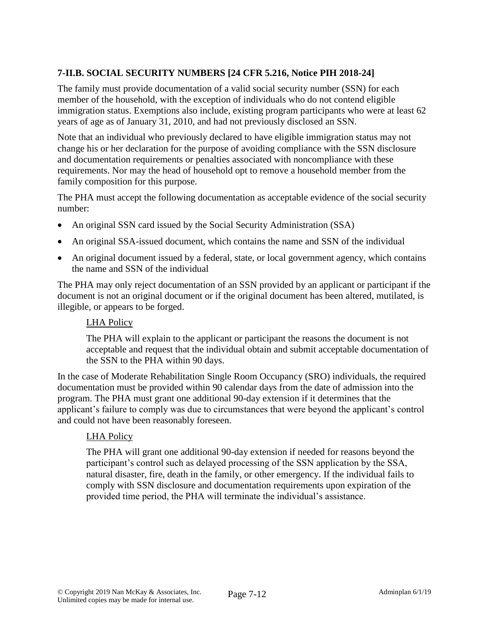# **7-II.B. SOCIAL SECURITY NUMBERS [24 CFR 5.216, Notice PIH 2018-24]**

The family must provide documentation of a valid social security number (SSN) for each member of the household, with the exception of individuals who do not contend eligible immigration status. Exemptions also include, existing program participants who were at least 62 years of age as of January 31, 2010, and had not previously disclosed an SSN.

Note that an individual who previously declared to have eligible immigration status may not change his or her declaration for the purpose of avoiding compliance with the SSN disclosure and documentation requirements or penalties associated with noncompliance with these requirements. Nor may the head of household opt to remove a household member from the family composition for this purpose.

The PHA must accept the following documentation as acceptable evidence of the social security number:

- An original SSN card issued by the Social Security Administration (SSA)
- An original SSA-issued document, which contains the name and SSN of the individual
- An original document issued by a federal, state, or local government agency, which contains the name and SSN of the individual

The PHA may only reject documentation of an SSN provided by an applicant or participant if the document is not an original document or if the original document has been altered, mutilated, is illegible, or appears to be forged.

## LHA Policy

The PHA will explain to the applicant or participant the reasons the document is not acceptable and request that the individual obtain and submit acceptable documentation of the SSN to the PHA within 90 days.

In the case of Moderate Rehabilitation Single Room Occupancy (SRO) individuals, the required documentation must be provided within 90 calendar days from the date of admission into the program. The PHA must grant one additional 90-day extension if it determines that the applicant's failure to comply was due to circumstances that were beyond the applicant's control and could not have been reasonably foreseen.

## LHA Policy

The PHA will grant one additional 90-day extension if needed for reasons beyond the participant's control such as delayed processing of the SSN application by the SSA, natural disaster, fire, death in the family, or other emergency. If the individual fails to comply with SSN disclosure and documentation requirements upon expiration of the provided time period, the PHA will terminate the individual's assistance.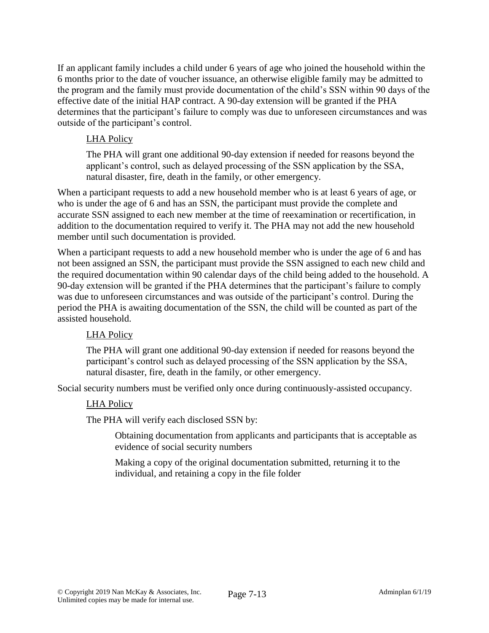If an applicant family includes a child under 6 years of age who joined the household within the 6 months prior to the date of voucher issuance, an otherwise eligible family may be admitted to the program and the family must provide documentation of the child's SSN within 90 days of the effective date of the initial HAP contract. A 90-day extension will be granted if the PHA determines that the participant's failure to comply was due to unforeseen circumstances and was outside of the participant's control.

# LHA Policy

The PHA will grant one additional 90-day extension if needed for reasons beyond the applicant's control, such as delayed processing of the SSN application by the SSA, natural disaster, fire, death in the family, or other emergency.

When a participant requests to add a new household member who is at least 6 years of age, or who is under the age of 6 and has an SSN, the participant must provide the complete and accurate SSN assigned to each new member at the time of reexamination or recertification, in addition to the documentation required to verify it. The PHA may not add the new household member until such documentation is provided.

When a participant requests to add a new household member who is under the age of 6 and has not been assigned an SSN, the participant must provide the SSN assigned to each new child and the required documentation within 90 calendar days of the child being added to the household. A 90-day extension will be granted if the PHA determines that the participant's failure to comply was due to unforeseen circumstances and was outside of the participant's control. During the period the PHA is awaiting documentation of the SSN, the child will be counted as part of the assisted household.

## LHA Policy

The PHA will grant one additional 90-day extension if needed for reasons beyond the participant's control such as delayed processing of the SSN application by the SSA, natural disaster, fire, death in the family, or other emergency.

Social security numbers must be verified only once during continuously-assisted occupancy.

## LHA Policy

The PHA will verify each disclosed SSN by:

Obtaining documentation from applicants and participants that is acceptable as evidence of social security numbers

Making a copy of the original documentation submitted, returning it to the individual, and retaining a copy in the file folder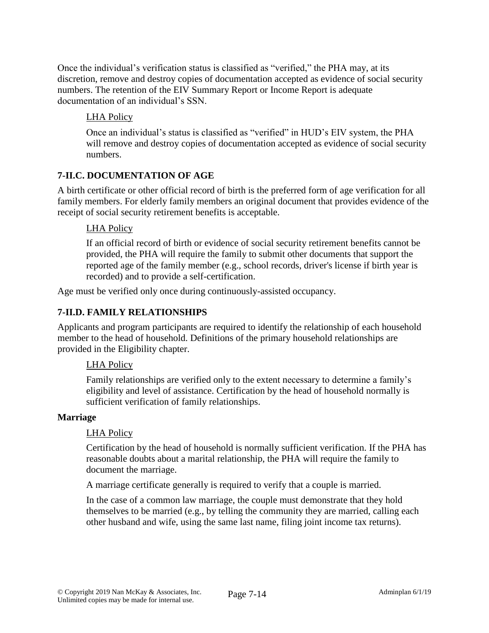Once the individual's verification status is classified as "verified," the PHA may, at its discretion, remove and destroy copies of documentation accepted as evidence of social security numbers. The retention of the EIV Summary Report or Income Report is adequate documentation of an individual's SSN.

# LHA Policy

Once an individual's status is classified as "verified" in HUD's EIV system, the PHA will remove and destroy copies of documentation accepted as evidence of social security numbers.

# **7-II.C. DOCUMENTATION OF AGE**

A birth certificate or other official record of birth is the preferred form of age verification for all family members. For elderly family members an original document that provides evidence of the receipt of social security retirement benefits is acceptable.

# LHA Policy

If an official record of birth or evidence of social security retirement benefits cannot be provided, the PHA will require the family to submit other documents that support the reported age of the family member (e.g., school records, driver's license if birth year is recorded) and to provide a self-certification.

Age must be verified only once during continuously-assisted occupancy.

# **7-II.D. FAMILY RELATIONSHIPS**

Applicants and program participants are required to identify the relationship of each household member to the head of household. Definitions of the primary household relationships are provided in the Eligibility chapter.

## LHA Policy

Family relationships are verified only to the extent necessary to determine a family's eligibility and level of assistance. Certification by the head of household normally is sufficient verification of family relationships.

## **Marriage**

## LHA Policy

Certification by the head of household is normally sufficient verification. If the PHA has reasonable doubts about a marital relationship, the PHA will require the family to document the marriage.

A marriage certificate generally is required to verify that a couple is married.

In the case of a common law marriage, the couple must demonstrate that they hold themselves to be married (e.g., by telling the community they are married, calling each other husband and wife, using the same last name, filing joint income tax returns).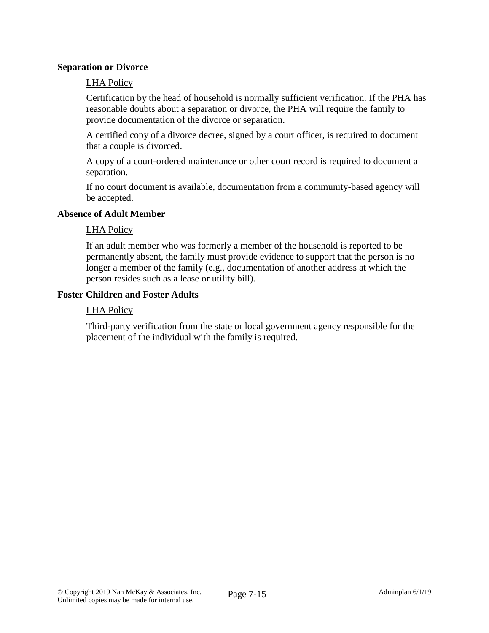#### **Separation or Divorce**

#### LHA Policy

Certification by the head of household is normally sufficient verification. If the PHA has reasonable doubts about a separation or divorce, the PHA will require the family to provide documentation of the divorce or separation.

A certified copy of a divorce decree, signed by a court officer, is required to document that a couple is divorced.

A copy of a court-ordered maintenance or other court record is required to document a separation.

If no court document is available, documentation from a community-based agency will be accepted.

#### **Absence of Adult Member**

#### LHA Policy

If an adult member who was formerly a member of the household is reported to be permanently absent, the family must provide evidence to support that the person is no longer a member of the family (e.g., documentation of another address at which the person resides such as a lease or utility bill).

#### **Foster Children and Foster Adults**

#### LHA Policy

Third-party verification from the state or local government agency responsible for the placement of the individual with the family is required.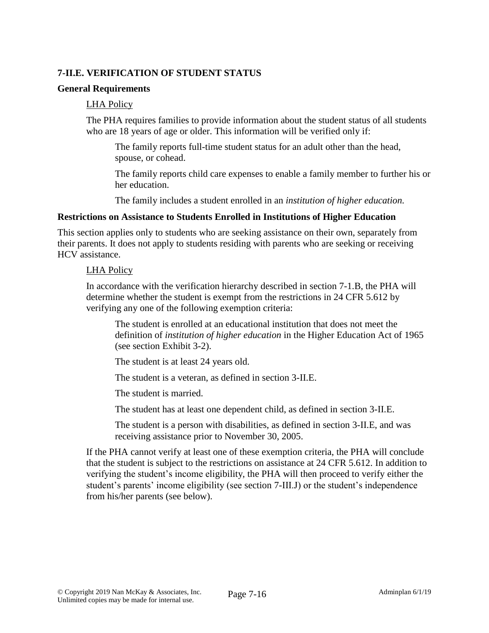# **7-II.E. VERIFICATION OF STUDENT STATUS**

#### **General Requirements**

#### LHA Policy

The PHA requires families to provide information about the student status of all students who are 18 years of age or older. This information will be verified only if:

The family reports full-time student status for an adult other than the head, spouse, or cohead.

The family reports child care expenses to enable a family member to further his or her education.

The family includes a student enrolled in an *institution of higher education.*

#### **Restrictions on Assistance to Students Enrolled in Institutions of Higher Education**

This section applies only to students who are seeking assistance on their own, separately from their parents. It does not apply to students residing with parents who are seeking or receiving HCV assistance.

#### LHA Policy

In accordance with the verification hierarchy described in section 7-1.B, the PHA will determine whether the student is exempt from the restrictions in 24 CFR 5.612 by verifying any one of the following exemption criteria:

The student is enrolled at an educational institution that does not meet the definition of *institution of higher education* in the Higher Education Act of 1965 (see section Exhibit 3-2).

The student is at least 24 years old.

The student is a veteran, as defined in section 3-II.E.

The student is married.

The student has at least one dependent child, as defined in section 3-II.E.

The student is a person with disabilities, as defined in section 3-II.E, and was receiving assistance prior to November 30, 2005.

If the PHA cannot verify at least one of these exemption criteria, the PHA will conclude that the student is subject to the restrictions on assistance at 24 CFR 5.612. In addition to verifying the student's income eligibility, the PHA will then proceed to verify either the student's parents' income eligibility (see section 7-III.J) or the student's independence from his/her parents (see below).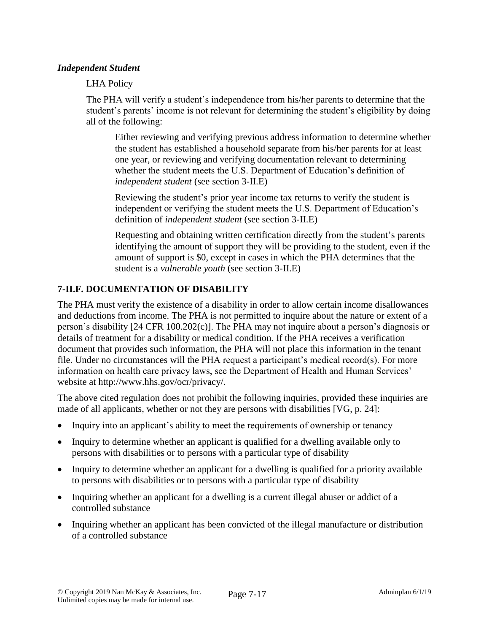### *Independent Student*

### LHA Policy

The PHA will verify a student's independence from his/her parents to determine that the student's parents' income is not relevant for determining the student's eligibility by doing all of the following:

Either reviewing and verifying previous address information to determine whether the student has established a household separate from his/her parents for at least one year, or reviewing and verifying documentation relevant to determining whether the student meets the U.S. Department of Education's definition of *independent student* (see section 3-II.E)

Reviewing the student's prior year income tax returns to verify the student is independent or verifying the student meets the U.S. Department of Education's definition of *independent student* (see section 3-II.E)

Requesting and obtaining written certification directly from the student's parents identifying the amount of support they will be providing to the student, even if the amount of support is \$0, except in cases in which the PHA determines that the student is a *vulnerable youth* (see section 3-II.E)

#### **7-II.F. DOCUMENTATION OF DISABILITY**

The PHA must verify the existence of a disability in order to allow certain income disallowances and deductions from income. The PHA is not permitted to inquire about the nature or extent of a person's disability [24 CFR 100.202(c)]. The PHA may not inquire about a person's diagnosis or details of treatment for a disability or medical condition. If the PHA receives a verification document that provides such information, the PHA will not place this information in the tenant file. Under no circumstances will the PHA request a participant's medical record(s). For more information on health care privacy laws, see the Department of Health and Human Services' website at http://www.hhs.gov/ocr/privacy/.

The above cited regulation does not prohibit the following inquiries, provided these inquiries are made of all applicants, whether or not they are persons with disabilities [VG, p. 24]:

- Inquiry into an applicant's ability to meet the requirements of ownership or tenancy
- Inquiry to determine whether an applicant is qualified for a dwelling available only to persons with disabilities or to persons with a particular type of disability
- Inquiry to determine whether an applicant for a dwelling is qualified for a priority available to persons with disabilities or to persons with a particular type of disability
- Inquiring whether an applicant for a dwelling is a current illegal abuser or addict of a controlled substance
- Inquiring whether an applicant has been convicted of the illegal manufacture or distribution of a controlled substance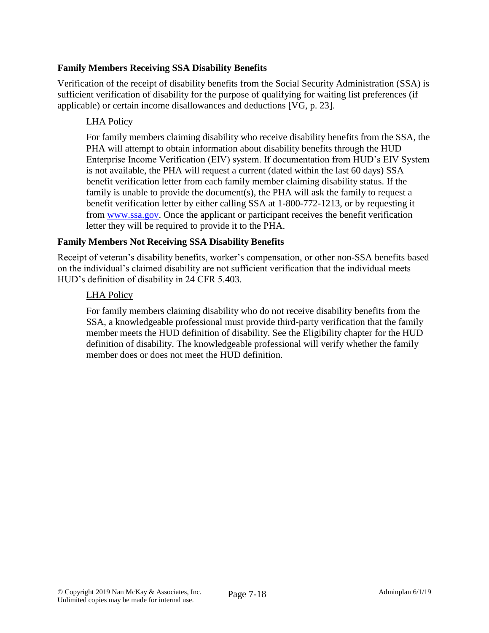## **Family Members Receiving SSA Disability Benefits**

Verification of the receipt of disability benefits from the Social Security Administration (SSA) is sufficient verification of disability for the purpose of qualifying for waiting list preferences (if applicable) or certain income disallowances and deductions [VG, p. 23].

# LHA Policy

For family members claiming disability who receive disability benefits from the SSA, the PHA will attempt to obtain information about disability benefits through the HUD Enterprise Income Verification (EIV) system. If documentation from HUD's EIV System is not available, the PHA will request a current (dated within the last 60 days) SSA benefit verification letter from each family member claiming disability status. If the family is unable to provide the document(s), the PHA will ask the family to request a benefit verification letter by either calling SSA at 1-800-772-1213, or by requesting it from [www.ssa.gov.](http://www.ssa.gov/) Once the applicant or participant receives the benefit verification letter they will be required to provide it to the PHA.

# **Family Members Not Receiving SSA Disability Benefits**

Receipt of veteran's disability benefits, worker's compensation, or other non-SSA benefits based on the individual's claimed disability are not sufficient verification that the individual meets HUD's definition of disability in 24 CFR 5.403.

## LHA Policy

For family members claiming disability who do not receive disability benefits from the SSA, a knowledgeable professional must provide third-party verification that the family member meets the HUD definition of disability. See the Eligibility chapter for the HUD definition of disability. The knowledgeable professional will verify whether the family member does or does not meet the HUD definition.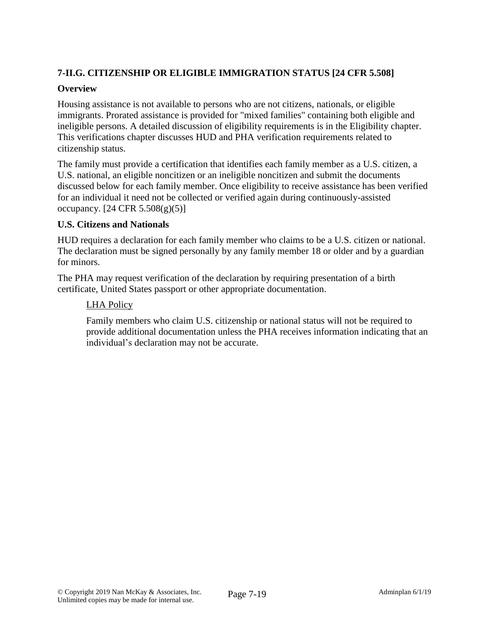# **7-II.G. CITIZENSHIP OR ELIGIBLE IMMIGRATION STATUS [24 CFR 5.508]**

## **Overview**

Housing assistance is not available to persons who are not citizens, nationals, or eligible immigrants. Prorated assistance is provided for "mixed families" containing both eligible and ineligible persons. A detailed discussion of eligibility requirements is in the Eligibility chapter. This verifications chapter discusses HUD and PHA verification requirements related to citizenship status.

The family must provide a certification that identifies each family member as a U.S. citizen, a U.S. national, an eligible noncitizen or an ineligible noncitizen and submit the documents discussed below for each family member. Once eligibility to receive assistance has been verified for an individual it need not be collected or verified again during continuously-assisted occupancy.  $[24 \text{ CFR } 5.508(g)(5)]$ 

## **U.S. Citizens and Nationals**

HUD requires a declaration for each family member who claims to be a U.S. citizen or national. The declaration must be signed personally by any family member 18 or older and by a guardian for minors.

The PHA may request verification of the declaration by requiring presentation of a birth certificate, United States passport or other appropriate documentation.

## LHA Policy

Family members who claim U.S. citizenship or national status will not be required to provide additional documentation unless the PHA receives information indicating that an individual's declaration may not be accurate.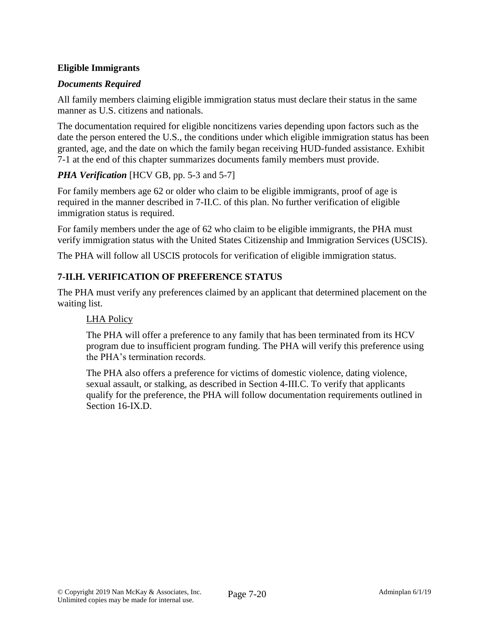# **Eligible Immigrants**

# *Documents Required*

All family members claiming eligible immigration status must declare their status in the same manner as U.S. citizens and nationals.

The documentation required for eligible noncitizens varies depending upon factors such as the date the person entered the U.S., the conditions under which eligible immigration status has been granted, age, and the date on which the family began receiving HUD-funded assistance. Exhibit 7-1 at the end of this chapter summarizes documents family members must provide.

# *PHA Verification* [HCV GB, pp. 5-3 and 5-7]

For family members age 62 or older who claim to be eligible immigrants, proof of age is required in the manner described in 7-II.C. of this plan. No further verification of eligible immigration status is required.

For family members under the age of 62 who claim to be eligible immigrants, the PHA must verify immigration status with the United States Citizenship and Immigration Services (USCIS).

The PHA will follow all USCIS protocols for verification of eligible immigration status.

# **7-II.H. VERIFICATION OF PREFERENCE STATUS**

The PHA must verify any preferences claimed by an applicant that determined placement on the waiting list.

## LHA Policy

The PHA will offer a preference to any family that has been terminated from its HCV program due to insufficient program funding. The PHA will verify this preference using the PHA's termination records.

The PHA also offers a preference for victims of domestic violence, dating violence, sexual assault, or stalking, as described in Section 4-III.C. To verify that applicants qualify for the preference, the PHA will follow documentation requirements outlined in Section 16-IX.D.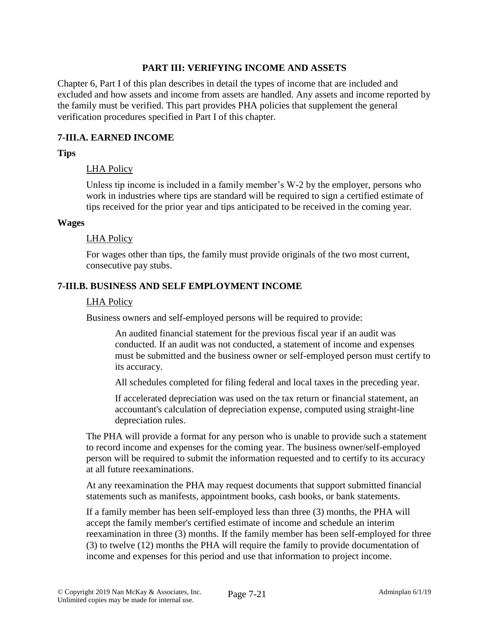#### **PART III: VERIFYING INCOME AND ASSETS**

Chapter 6, Part I of this plan describes in detail the types of income that are included and excluded and how assets and income from assets are handled. Any assets and income reported by the family must be verified. This part provides PHA policies that supplement the general verification procedures specified in Part I of this chapter.

### **7-III.A. EARNED INCOME**

#### **Tips**

#### LHA Policy

Unless tip income is included in a family member's W-2 by the employer, persons who work in industries where tips are standard will be required to sign a certified estimate of tips received for the prior year and tips anticipated to be received in the coming year.

#### **Wages**

#### LHA Policy

For wages other than tips, the family must provide originals of the two most current, consecutive pay stubs.

#### **7-III.B. BUSINESS AND SELF EMPLOYMENT INCOME**

#### LHA Policy

Business owners and self-employed persons will be required to provide:

An audited financial statement for the previous fiscal year if an audit was conducted. If an audit was not conducted, a statement of income and expenses must be submitted and the business owner or self-employed person must certify to its accuracy.

All schedules completed for filing federal and local taxes in the preceding year.

If accelerated depreciation was used on the tax return or financial statement, an accountant's calculation of depreciation expense, computed using straight-line depreciation rules.

The PHA will provide a format for any person who is unable to provide such a statement to record income and expenses for the coming year. The business owner/self-employed person will be required to submit the information requested and to certify to its accuracy at all future reexaminations.

At any reexamination the PHA may request documents that support submitted financial statements such as manifests, appointment books, cash books, or bank statements.

If a family member has been self-employed less than three (3) months, the PHA will accept the family member's certified estimate of income and schedule an interim reexamination in three (3) months. If the family member has been self-employed for three (3) to twelve (12) months the PHA will require the family to provide documentation of income and expenses for this period and use that information to project income.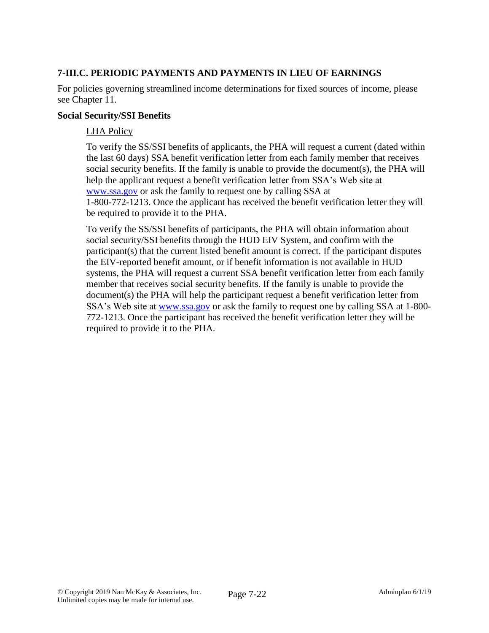# **7-III.C. PERIODIC PAYMENTS AND PAYMENTS IN LIEU OF EARNINGS**

For policies governing streamlined income determinations for fixed sources of income, please see Chapter 11.

#### **Social Security/SSI Benefits**

### LHA Policy

To verify the SS/SSI benefits of applicants, the PHA will request a current (dated within the last 60 days) SSA benefit verification letter from each family member that receives social security benefits. If the family is unable to provide the document(s), the PHA will [help](http://help/) the applicant request a benefit verification letter from SSA's Web site at [www.ssa.gov](http://www.ssa.gov/) or ask the family to request one by calling SSA at 1-800-772-1213. Once the applicant has received the benefit verification letter they will be required to provide it to the PHA.

To verify the SS/SSI benefits of participants, the PHA will obtain information about social security/SSI benefits through the HUD EIV System, and confirm with the participant(s) that the current listed benefit amount is correct. If the participant disputes the EIV-reported benefit amount, or if benefit information is not available in HUD systems, the PHA will request a current SSA benefit verification letter from each family member that receives social security benefits. If the family is unable to provide the document(s) the PHA will [help](http://help/) the participant request a benefit verification letter from SSA's Web site at [www.ssa.gov](http://www.ssa.gov/) or ask the family to request one by calling SSA at 1-800-772-1213. Once the participant has received the benefit verification letter they will be required to provide it to the PHA.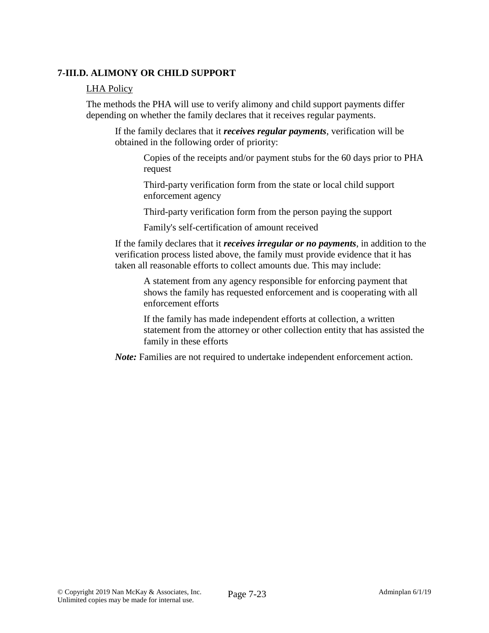## **7-III.D. ALIMONY OR CHILD SUPPORT**

#### LHA Policy

The methods the PHA will use to verify alimony and child support payments differ depending on whether the family declares that it receives regular payments.

If the family declares that it *receives regular payments*, verification will be obtained in the following order of priority:

Copies of the receipts and/or payment stubs for the 60 days prior to PHA request

Third-party verification form from the state or local child support enforcement agency

Third-party verification form from the person paying the support

Family's self-certification of amount received

If the family declares that it *receives irregular or no payments*, in addition to the verification process listed above, the family must provide evidence that it has taken all reasonable efforts to collect amounts due. This may include:

A statement from any agency responsible for enforcing payment that shows the family has requested enforcement and is cooperating with all enforcement efforts

If the family has made independent efforts at collection, a written statement from the attorney or other collection entity that has assisted the family in these efforts

*Note:* Families are not required to undertake independent enforcement action.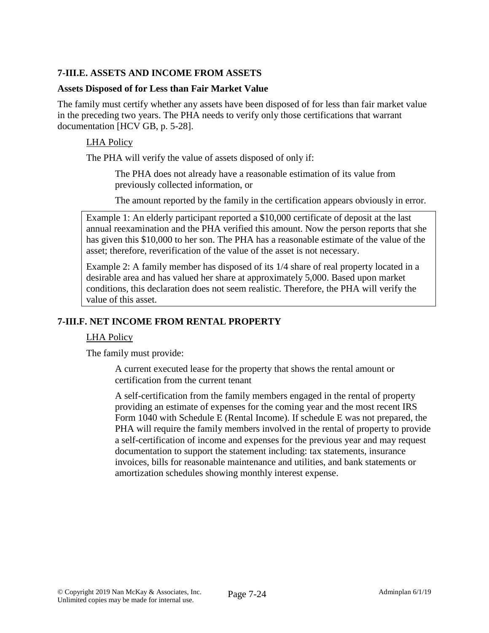# **7-III.E. ASSETS AND INCOME FROM ASSETS**

#### **Assets Disposed of for Less than Fair Market Value**

The family must certify whether any assets have been disposed of for less than fair market value in the preceding two years. The PHA needs to verify only those certifications that warrant documentation [HCV GB, p. 5-28].

### LHA Policy

The PHA will verify the value of assets disposed of only if:

The PHA does not already have a reasonable estimation of its value from previously collected information, or

The amount reported by the family in the certification appears obviously in error.

Example 1: An elderly participant reported a \$10,000 certificate of deposit at the last annual reexamination and the PHA verified this amount. Now the person reports that she has given this \$10,000 to her son. The PHA has a reasonable estimate of the value of the asset; therefore, reverification of the value of the asset is not necessary.

Example 2: A family member has disposed of its 1/4 share of real property located in a desirable area and has valued her share at approximately 5,000. Based upon market conditions, this declaration does not seem realistic. Therefore, the PHA will verify the value of this asset.

## **7-III.F. NET INCOME FROM RENTAL PROPERTY**

## LHA Policy

The family must provide:

A current executed lease for the property that shows the rental amount or certification from the current tenant

A self-certification from the family members engaged in the rental of property providing an estimate of expenses for the coming year and the most recent IRS Form 1040 with Schedule E (Rental Income). If schedule E was not prepared, the PHA will require the family members involved in the rental of property to provide a self-certification of income and expenses for the previous year and may request documentation to support the statement including: tax statements, insurance invoices, bills for reasonable maintenance and utilities, and bank statements or amortization schedules showing monthly interest expense.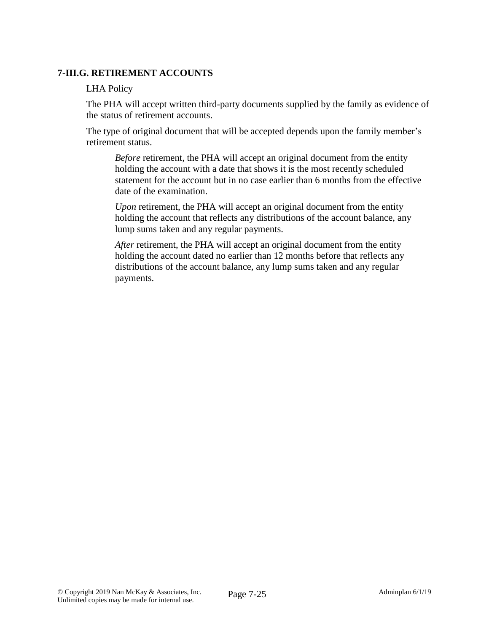## **7-III.G. RETIREMENT ACCOUNTS**

### LHA Policy

The PHA will accept written third-party documents supplied by the family as evidence of the status of retirement accounts.

The type of original document that will be accepted depends upon the family member's retirement status.

*Before* retirement, the PHA will accept an original document from the entity holding the account with a date that shows it is the most recently scheduled statement for the account but in no case earlier than 6 months from the effective date of the examination.

*Upon* retirement, the PHA will accept an original document from the entity holding the account that reflects any distributions of the account balance, any lump sums taken and any regular payments.

*After* retirement, the PHA will accept an original document from the entity holding the account dated no earlier than 12 months before that reflects any distributions of the account balance, any lump sums taken and any regular payments.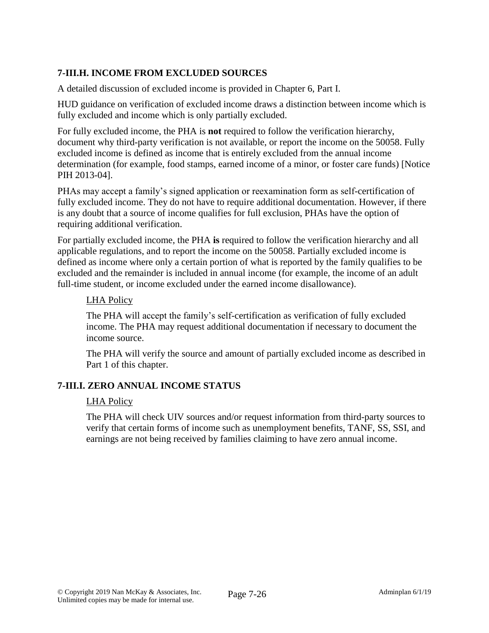# **7-III.H. INCOME FROM EXCLUDED SOURCES**

A detailed discussion of excluded income is provided in Chapter 6, Part I.

HUD guidance on verification of excluded income draws a distinction between income which is fully excluded and income which is only partially excluded.

For fully excluded income, the PHA is **not** required to follow the verification hierarchy, document why third-party verification is not available, or report the income on the 50058. Fully excluded income is defined as income that is entirely excluded from the annual income determination (for example, food stamps, earned income of a minor, or foster care funds) [Notice PIH 2013-04].

PHAs may accept a family's signed application or reexamination form as self-certification of fully excluded income. They do not have to require additional documentation. However, if there is any doubt that a source of income qualifies for full exclusion, PHAs have the option of requiring additional verification.

For partially excluded income, the PHA **is** required to follow the verification hierarchy and all applicable regulations, and to report the income on the 50058. Partially excluded income is defined as income where only a certain portion of what is reported by the family qualifies to be excluded and the remainder is included in annual income (for example, the income of an adult full-time student, or income excluded under the earned income disallowance).

#### LHA Policy

The PHA will accept the family's self-certification as verification of fully excluded income. The PHA may request additional documentation if necessary to document the income source.

The PHA will verify the source and amount of partially excluded income as described in Part 1 of this chapter.

## **7-III.I. ZERO ANNUAL INCOME STATUS**

#### LHA Policy

The PHA will check UIV sources and/or request information from third-party sources to verify that certain forms of income such as unemployment benefits, TANF, SS, SSI, and earnings are not being received by families claiming to have zero annual income.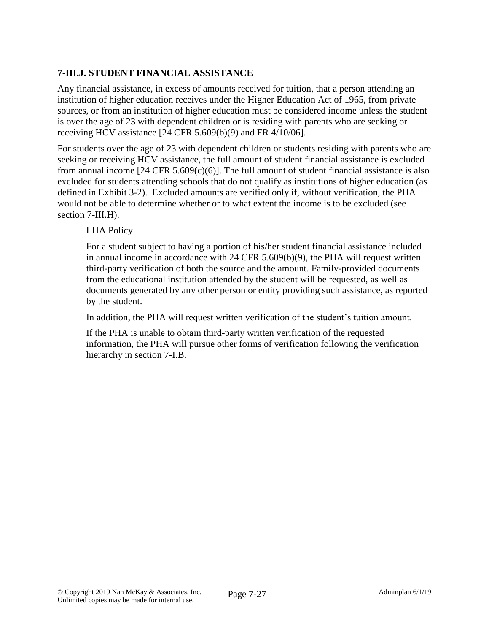# **7-III.J. STUDENT FINANCIAL ASSISTANCE**

Any financial assistance, in excess of amounts received for tuition, that a person attending an institution of higher education receives under the Higher Education Act of 1965, from private sources, or from an institution of higher education must be considered income unless the student is over the age of 23 with dependent children or is residing with parents who are seeking or receiving HCV assistance [24 CFR 5.609(b)(9) and FR 4/10/06].

For students over the age of 23 with dependent children or students residing with parents who are seeking or receiving HCV assistance, the full amount of student financial assistance is excluded from annual income  $[24 \text{ CFR } 5.609(c)(6)]$ . The full amount of student financial assistance is also excluded for students attending schools that do not qualify as institutions of higher education (as defined in Exhibit 3-2). Excluded amounts are verified only if, without verification, the PHA would not be able to determine whether or to what extent the income is to be excluded (see section 7-III.H).

# LHA Policy

For a student subject to having a portion of his/her student financial assistance included in annual income in accordance with 24 CFR 5.609(b)(9), the PHA will request written third-party verification of both the source and the amount. Family-provided documents from the educational institution attended by the student will be requested, as well as documents generated by any other person or entity providing such assistance, as reported by the student.

In addition, the PHA will request written verification of the student's tuition amount.

If the PHA is unable to obtain third-party written verification of the requested information, the PHA will pursue other forms of verification following the verification hierarchy in section 7-I.B.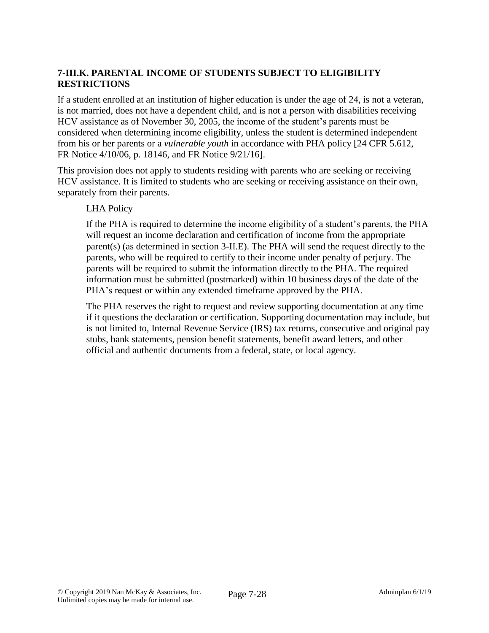# **7-III.K. PARENTAL INCOME OF STUDENTS SUBJECT TO ELIGIBILITY RESTRICTIONS**

If a student enrolled at an institution of higher education is under the age of 24, is not a veteran, is not married, does not have a dependent child, and is not a person with disabilities receiving HCV assistance as of November 30, 2005, the income of the student's parents must be considered when determining income eligibility, unless the student is determined independent from his or her parents or a *vulnerable youth* in accordance with PHA policy [24 CFR 5.612, FR Notice 4/10/06, p. 18146, and FR Notice 9/21/16].

This provision does not apply to students residing with parents who are seeking or receiving HCV assistance. It is limited to students who are seeking or receiving assistance on their own, separately from their parents.

#### LHA Policy

If the PHA is required to determine the income eligibility of a student's parents, the PHA will request an income declaration and certification of income from the appropriate parent(s) (as determined in section 3-II.E). The PHA will send the request directly to the parents, who will be required to certify to their income under penalty of perjury. The parents will be required to submit the information directly to the PHA. The required information must be submitted (postmarked) within 10 business days of the date of the PHA's request or within any extended timeframe approved by the PHA.

The PHA reserves the right to request and review supporting documentation at any time if it questions the declaration or certification. Supporting documentation may include, but is not limited to, Internal Revenue Service (IRS) tax returns, consecutive and original pay stubs, bank statements, pension benefit statements, benefit award letters, and other official and authentic documents from a federal, state, or local agency.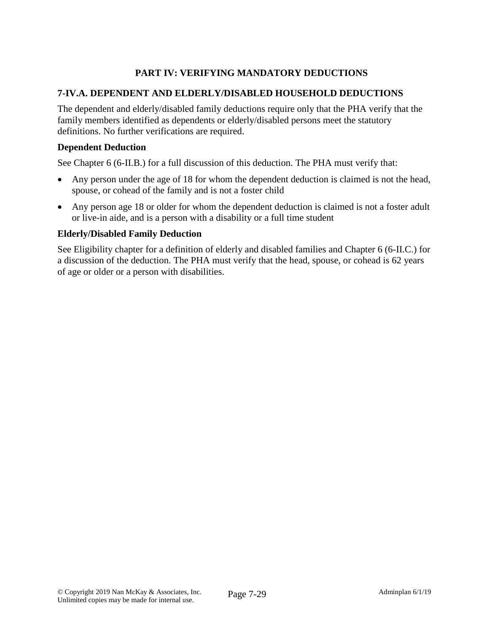# **PART IV: VERIFYING MANDATORY DEDUCTIONS**

### **7-IV.A. DEPENDENT AND ELDERLY/DISABLED HOUSEHOLD DEDUCTIONS**

The dependent and elderly/disabled family deductions require only that the PHA verify that the family members identified as dependents or elderly/disabled persons meet the statutory definitions. No further verifications are required.

#### **Dependent Deduction**

See Chapter 6 (6-II.B.) for a full discussion of this deduction. The PHA must verify that:

- Any person under the age of 18 for whom the dependent deduction is claimed is not the head, spouse, or cohead of the family and is not a foster child
- Any person age 18 or older for whom the dependent deduction is claimed is not a foster adult or live-in aide, and is a person with a disability or a full time student

#### **Elderly/Disabled Family Deduction**

See Eligibility chapter for a definition of elderly and disabled families and Chapter 6 (6-II.C.) for a discussion of the deduction. The PHA must verify that the head, spouse, or cohead is 62 years of age or older or a person with disabilities.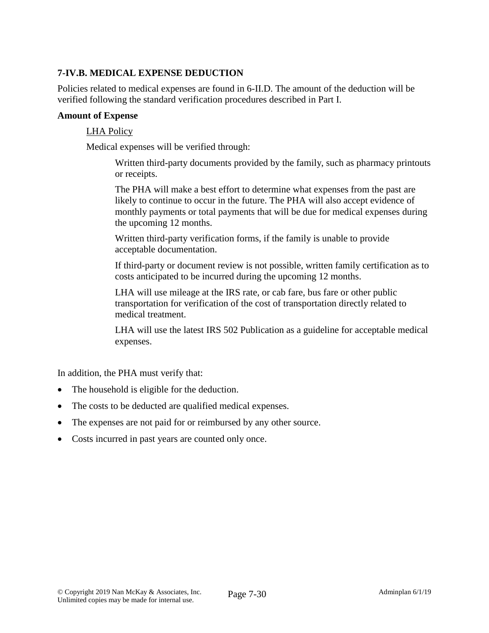# **7-IV.B. MEDICAL EXPENSE DEDUCTION**

Policies related to medical expenses are found in 6-II.D. The amount of the deduction will be verified following the standard verification procedures described in Part I.

#### **Amount of Expense**

#### LHA Policy

Medical expenses will be verified through:

Written third-party documents provided by the family, such as pharmacy printouts or receipts.

The PHA will make a best effort to determine what expenses from the past are likely to continue to occur in the future. The PHA will also accept evidence of monthly payments or total payments that will be due for medical expenses during the upcoming 12 months.

Written third-party verification forms, if the family is unable to provide acceptable documentation.

If third-party or document review is not possible, written family certification as to costs anticipated to be incurred during the upcoming 12 months.

LHA will use mileage at the IRS rate, or cab fare, bus fare or other public transportation for verification of the cost of transportation directly related to medical treatment.

LHA will use the latest IRS 502 Publication as a guideline for acceptable medical expenses.

In addition, the PHA must verify that:

- The household is eligible for the deduction.
- The costs to be deducted are qualified medical expenses.
- The expenses are not paid for or reimbursed by any other source.
- Costs incurred in past years are counted only once.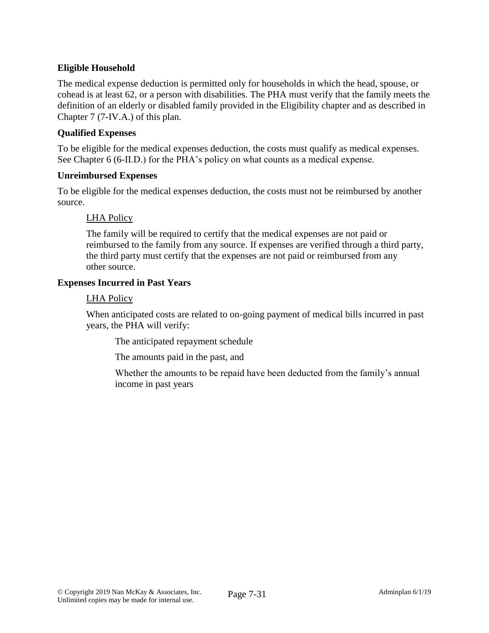# **Eligible Household**

The medical expense deduction is permitted only for households in which the head, spouse, or cohead is at least 62, or a person with disabilities. The PHA must verify that the family meets the definition of an elderly or disabled family provided in the Eligibility chapter and as described in Chapter 7 (7-IV.A.) of this plan.

### **Qualified Expenses**

To be eligible for the medical expenses deduction, the costs must qualify as medical expenses. See Chapter 6 (6-II.D.) for the PHA's policy on what counts as a medical expense.

#### **Unreimbursed Expenses**

To be eligible for the medical expenses deduction, the costs must not be reimbursed by another source.

## LHA Policy

The family will be required to certify that the medical expenses are not paid or reimbursed to the family from any source. If expenses are verified through a third party, the third party must certify that the expenses are not paid or reimbursed from any other source.

#### **Expenses Incurred in Past Years**

#### LHA Policy

When anticipated costs are related to on-going payment of medical bills incurred in past years, the PHA will verify:

The anticipated repayment schedule

The amounts paid in the past, and

Whether the amounts to be repaid have been deducted from the family's annual income in past years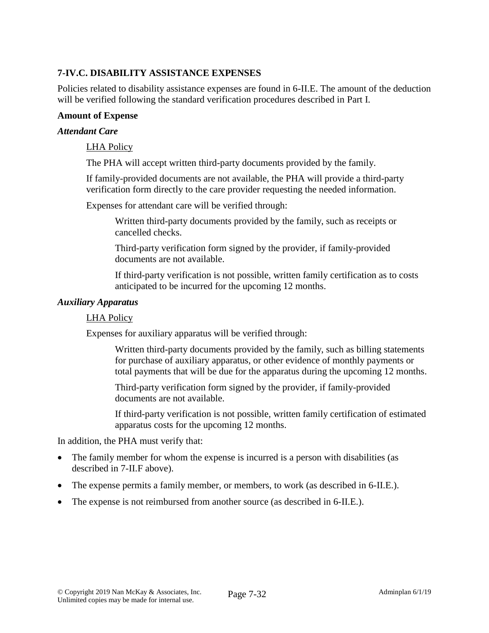# **7-IV.C. DISABILITY ASSISTANCE EXPENSES**

Policies related to disability assistance expenses are found in 6-II.E. The amount of the deduction will be verified following the standard verification procedures described in Part I.

#### **Amount of Expense**

#### *Attendant Care*

#### LHA Policy

The PHA will accept written third-party documents provided by the family.

If family-provided documents are not available, the PHA will provide a third-party verification form directly to the care provider requesting the needed information.

Expenses for attendant care will be verified through:

Written third-party documents provided by the family, such as receipts or cancelled checks.

Third-party verification form signed by the provider, if family-provided documents are not available.

If third-party verification is not possible, written family certification as to costs anticipated to be incurred for the upcoming 12 months.

#### *Auxiliary Apparatus*

#### LHA Policy

Expenses for auxiliary apparatus will be verified through:

Written third-party documents provided by the family, such as billing statements for purchase of auxiliary apparatus, or other evidence of monthly payments or total payments that will be due for the apparatus during the upcoming 12 months.

Third-party verification form signed by the provider, if family-provided documents are not available.

If third-party verification is not possible, written family certification of estimated apparatus costs for the upcoming 12 months.

In addition, the PHA must verify that:

- The family member for whom the expense is incurred is a person with disabilities (as described in 7-II.F above).
- The expense permits a family member, or members, to work (as described in 6-II.E.).
- The expense is not reimbursed from another source (as described in 6-II.E.).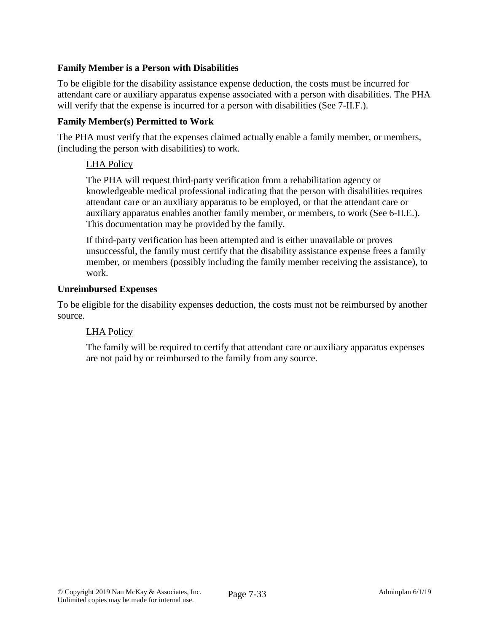## **Family Member is a Person with Disabilities**

To be eligible for the disability assistance expense deduction, the costs must be incurred for attendant care or auxiliary apparatus expense associated with a person with disabilities. The PHA will verify that the expense is incurred for a person with disabilities (See 7-II.F.).

### **Family Member(s) Permitted to Work**

The PHA must verify that the expenses claimed actually enable a family member, or members, (including the person with disabilities) to work.

## LHA Policy

The PHA will request third-party verification from a rehabilitation agency or knowledgeable medical professional indicating that the person with disabilities requires attendant care or an auxiliary apparatus to be employed, or that the attendant care or auxiliary apparatus enables another family member, or members, to work (See 6-II.E.). This documentation may be provided by the family.

If third-party verification has been attempted and is either unavailable or proves unsuccessful, the family must certify that the disability assistance expense frees a family member, or members (possibly including the family member receiving the assistance), to work.

#### **Unreimbursed Expenses**

To be eligible for the disability expenses deduction, the costs must not be reimbursed by another source.

## LHA Policy

The family will be required to certify that attendant care or auxiliary apparatus expenses are not paid by or reimbursed to the family from any source.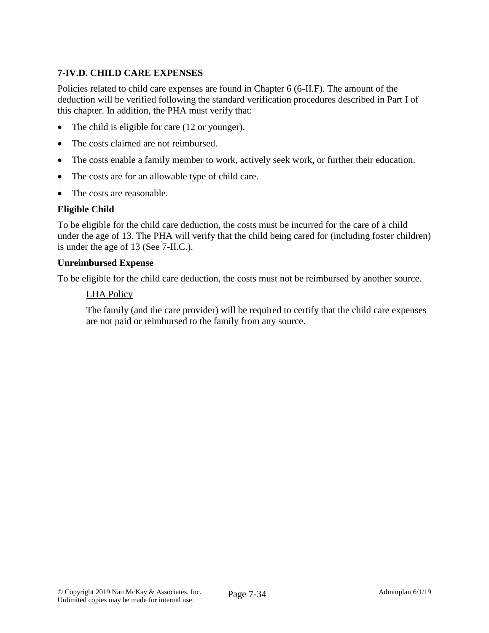# **7-IV.D. CHILD CARE EXPENSES**

Policies related to child care expenses are found in Chapter 6 (6-II.F). The amount of the deduction will be verified following the standard verification procedures described in Part I of this chapter. In addition, the PHA must verify that:

- The child is eligible for care (12 or younger).
- The costs claimed are not reimbursed.
- The costs enable a family member to work, actively seek work, or further their education.
- The costs are for an allowable type of child care.
- The costs are reasonable.

## **Eligible Child**

To be eligible for the child care deduction, the costs must be incurred for the care of a child under the age of 13. The PHA will verify that the child being cared for (including foster children) is under the age of 13 (See 7-II.C.).

#### **Unreimbursed Expense**

To be eligible for the child care deduction, the costs must not be reimbursed by another source.

#### LHA Policy

The family (and the care provider) will be required to certify that the child care expenses are not paid or reimbursed to the family from any source.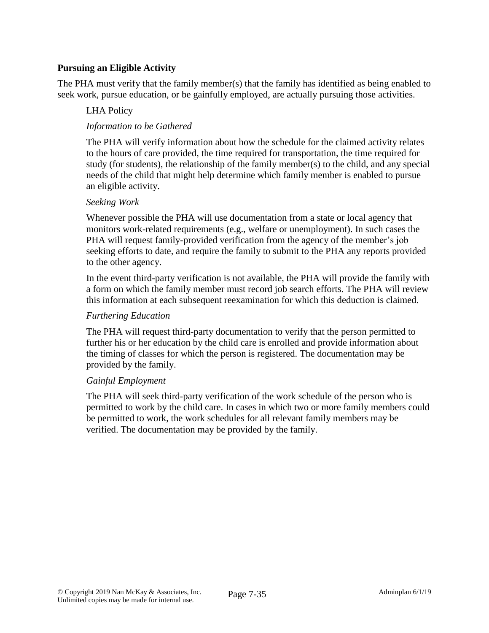## **Pursuing an Eligible Activity**

The PHA must verify that the family member(s) that the family has identified as being enabled to seek work, pursue education, or be gainfully employed, are actually pursuing those activities.

### LHA Policy

## *Information to be Gathered*

The PHA will verify information about how the schedule for the claimed activity relates to the hours of care provided, the time required for transportation, the time required for study (for students), the relationship of the family member(s) to the child, and any special needs of the child that might help determine which family member is enabled to pursue an eligible activity.

#### *Seeking Work*

Whenever possible the PHA will use documentation from a state or local agency that monitors work-related requirements (e.g., welfare or unemployment). In such cases the PHA will request family-provided verification from the agency of the member's job seeking efforts to date, and require the family to submit to the PHA any reports provided to the other agency.

In the event third-party verification is not available, the PHA will provide the family with a form on which the family member must record job search efforts. The PHA will review this information at each subsequent reexamination for which this deduction is claimed.

#### *Furthering Education*

The PHA will request third-party documentation to verify that the person permitted to further his or her education by the child care is enrolled and provide information about the timing of classes for which the person is registered. The documentation may be provided by the family.

#### *Gainful Employment*

The PHA will seek third-party verification of the work schedule of the person who is permitted to work by the child care. In cases in which two or more family members could be permitted to work, the work schedules for all relevant family members may be verified. The documentation may be provided by the family.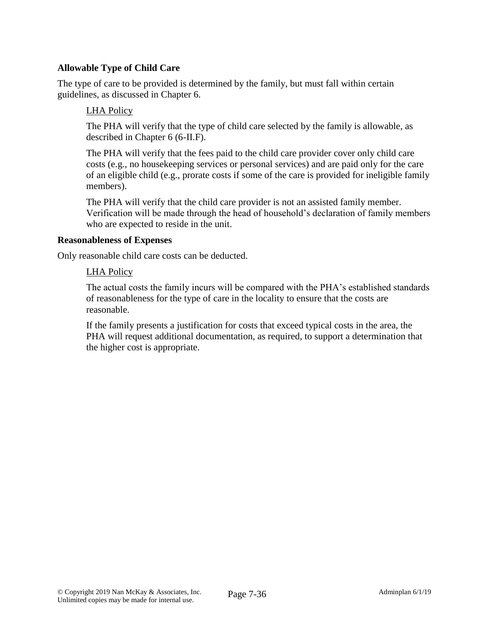## **Allowable Type of Child Care**

The type of care to be provided is determined by the family, but must fall within certain guidelines, as discussed in Chapter 6.

### LHA Policy

The PHA will verify that the type of child care selected by the family is allowable, as described in Chapter 6 (6-II.F).

The PHA will verify that the fees paid to the child care provider cover only child care costs (e.g., no housekeeping services or personal services) and are paid only for the care of an eligible child (e.g., prorate costs if some of the care is provided for ineligible family members).

The PHA will verify that the child care provider is not an assisted family member. Verification will be made through the head of household's declaration of family members who are expected to reside in the unit.

#### **Reasonableness of Expenses**

Only reasonable child care costs can be deducted.

#### LHA Policy

The actual costs the family incurs will be compared with the PHA's established standards of reasonableness for the type of care in the locality to ensure that the costs are reasonable.

If the family presents a justification for costs that exceed typical costs in the area, the PHA will request additional documentation, as required, to support a determination that the higher cost is appropriate.